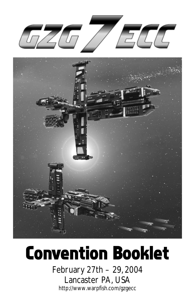



# *Convention Booklet*

February 27th – 29, 2004 Lancaster PA, USA http://www.warpfish.com/gzgecc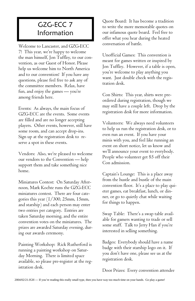# GZG-ECC 7 Information

*Welcome to Lancaster, and GZG-ECC 7! This year, we're happy to welcome the man himself, Jon Tuffley, to our convention, as our Guest of Honor. Please help us welcome him to North America and to our convention! If you have any questions, please feel free to ask any of the committee members. Relax, have fun, and enjoy the games — you're among friends here.*

*Events: As always, the main focus of GZG-ECC are the events. Some events are filled and are no longer accepting players. Other events, however, still have some room, and can accept drop-ins. Sign up at the registration desk to reserve a spot in these events.*

*Vendors: Also, we're pleased to welcome our vendors to the Convention — help support them and take something nice home.*

*Miniatures Contest: On Saturday Afternoon, Mark Kochte runs the GZG-ECC miniatures contest. There are four categories this year (1/300, 25mm, 15mm, and starship) and each person may enter two entries per category. Entries are taken Saturday morning, and the entire convention votes on the miniatures. The prizes are awarded Saturday evening, during our awards ceremony.*

*Painting Workshop: Rick Rutherford is running a painting workshop on Saturday Morning. There is limited space available, so please pre-register at the registration desk.*

*Quote Board: It has become a tradition to write the more memorable quotes on our infamous quote board. Feel free to offer what you hear during the heated conversation of battle.*

*Unofficial Games: This convention is meant for games written or inspired by Jon Tuffley. However, if a table is open, you're welcome to play anything you want. Just double check with the registration desk.*

*Con Shirts: This year, shirts were preordered during registration, though we may still have a couple left. Drop by the registration desk for more information.*

*Volunteers: We always need volunteers to help us run the registration desk, or to even run an event. If you have your minis with you, and feel like running an event on short notice, let us know and we'll announce your event to everybody. People who volunteer get \$5 off their Con admission.*

*Captain's Lounge: This is a place away from the hustle and bustle of the main convention floor. It's a place to play quieter games, eat breakfast, lunch, or dinner, or go to quietly chat while waiting for things to happen.*

*Swap Table: There's a swap table available for gamers wanting to trade or sell some stuff. Talk to Jerry Han if you're interested in selling something.*

*Badges: Everybody should have a name badge with their starship logo on it. If you don't have one, please see us at the registration desk.*

*Door Prizes: Every convention attendee*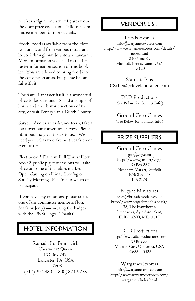*receives a figure or a set of figures from the door prize collection. Talk to a committee member for more details.*

*Food: Food is available from the Hotel restaurant, and from various restaurants located throughout downtown Lancaster. More information is located in the Lancaster information section of this booklet. You are allowed to bring food into the convention areas, but please be careful with it.*

*Tourism: Lancaster itself is a wonderful place to look around. Spend a couple of hours and tour historic sections of the city, or visit Pennsylvania Dutch County.* 

*Survey: And as an assistance to us, take a look over our convention survey. Please fill it out and give it back to us. We need your ideas to make next year's event even better.*

*Fleet Book 3 Playtest Full Thrust Fleet Book 3 public playtest sessions will take place on some of the tables marked Open Gaming on Friday Evening or Sunday Morning. Feel free to watch or participate!*

*If you have any questions, please talk to one of the committee members (Jon, Mark or Jerry) — wearing the badges with the UNSC logo. Thanks!*

## HOTEL INFORMATION

*Ramada Inn Brunswick Chestnut & Queen PO Box 749 Lancaster, PA, USA 17608 (717) 397-4801, (800) 821-9258*

## VENDOR LIST

*Decals Express*

*info@wargamesexpress.com http://www.wargamesexpress.com/decals/ index.html 210 Vine St. Munhall, Pennsylvania, USA 15120*

*Starmats Plus* CScheu@clevelandrange.com

*DLD Productions (See Below for Contact Info)*

*Ground Zero Games (See Below for Contact Info)*

## PRIZE SUPPLIERS

*Ground Zero Games jon@gzg.com http://www.gtns.net/gzg/ PO Box 337 Needham Market, Suffolk ENGLAND IP6 8LN*

#### *Brigade Miniatures*

*sales@brigademodels.co.uk http://www.brigademodels.co.uk/ 35, The Hawthorns, Greenacres, Aylesford, Kent, ENGLAND, ME20 7LJ*

#### *DLD Productions*

*http://www.dldproductions.com PO Box 535 Midway City, California, USA 92655 – 0535*

#### *Wargames Express*

*info@wargamesexpress.com http://www.wargamesexpress.com/ wargames/index.html*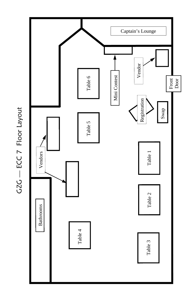

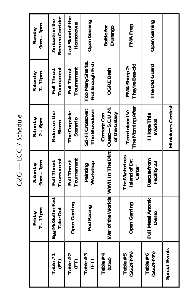GZG - ECC 7 Schedule GZG — ECC 7 Schedule

|                         | $7 - 11$ pm<br>Friday         | $9a$ m – Inn<br>Saturday                  | Saturday<br>$2 - 6$ pm                           | Saturday<br>$7 - 11$ pm                | $9a$ m – $1p$ m<br>Sunday               |
|-------------------------|-------------------------------|-------------------------------------------|--------------------------------------------------|----------------------------------------|-----------------------------------------|
| Table #1<br>E           | Egg McGuffin Fast<br>Take Out | Tournament<br><b>Full Thrust</b>          | Riders on the<br>Storm                           | Tournament<br><b>Full Thrust</b>       | <b>Bremen Corridor</b><br>Ambush in the |
| Table #2<br>E           | <b>Open Gaming</b>            | Tournament<br><b>Full Thrust</b>          | The Corpsicle<br>Scenario                        | Tournament<br><b>Full Thrust</b>       | Last Stand of the<br>Homonovus          |
| Table #3<br>E           | Pod Racing                    | Workshop<br>Painting                      | Sci-Fi Crossover:<br>The Showdown                | Too Many Sharks,<br>Not Enough Fish    | <b>Open Gaming</b>                      |
| Table #4<br>(DS2)       |                               | War of the Worlds WWVII In The Dirt       | $Queso-S.C.U.M.$<br>of the Galaxy<br>Carnage Con | <b>OGRE Bash</b>                       | <b>Battle for</b><br>Durango            |
| (SG2/FMA)<br>Table $#5$ | <b>Open Gaming</b>            | The Mysterious<br>Island of Dr.<br>Carter | The Morning After<br>Termintaor IV:              | They're Baa-ck!<br><b>FMA Sheep 2:</b> | FMA Frag                                |
| (SG2/FMA)<br>Table #6   | Il Metal Anorak<br>Demo<br>扂  | Rescue from<br>Facility 23                | I Hope This<br>Works!                            | The Old Guard                          | Open Gaming                             |
| <b>Special Events</b>   |                               |                                           | <b>Miniatures Contest</b>                        |                                        |                                         |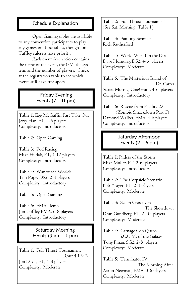### Schedule Explanation

*Open Gaming tables are available to any convention participants to play any games on these tables, though Jon Tuffley rulesets have priority.* 

*Each event description contains the name of the event, the GM, the system, and the number of players. Check at the registration table to see which events still have free spots.*

> Friday Evening Events  $(7 - 11 \text{ pm})$

*Table 1: Egg McGuffin Fast Take Out Jerry Han, FT, 4-6 players Complexity: Introductory*

*Table 2: Open Gaming*

*Table 3: Pod Racing Mike Hudak, FT, 4-12 players Complexity: Introductory*

*Table 4: War of the Worlds Tim Pope, DS2, 2-4 players Complexity: Introductory*

*Table 5: Open Gaming*

*Table 6: FMA Demo Jon Tuffley FMA, 6-8 players Complexity: Introductory*

> Saturday Morning Events  $(9 \text{ am} - 1 \text{ pm})$

*Table 1: Full Thrust Tournament Round 1 & 2 Jon Davis, FT, 4-8 players Complexity: Moderate*

*Table 2: Full Thrust Tournament (See Sat. Morning, Table 1)*

*Table 3: Painting Seminar Rick Rutherford*

*Table 4: World War II in the Dirt Dave Hornung, DS2, 4-6 players Complexity: Moderate*

*Table 5: The Mysterious Island of Dr. Carter Stuart Murray, CineGrunt, 4-6 players Complexity: Introductory*

*Table 6: Rescue from Facility 23 (Zombie Smackdown Part 1) Damond Walker, FMA, 4-6 players Complexity: Introductory*

> Saturday Afternoon Events  $(2 - 6$  pm)

*Table 1: Riders of the Storm Mike Muller, FT, 2-6 players Complexity: Introductory*

*Table 2: The Corpsicle Scenario Bob Yeager, FT, 2-4 players Complexity: Moderate*

*Table 3: Sci-Fi Crossover: The Showdown Dean Gundberg, FT, 2-10 players Complexity: Moderate*

*Table 4: Carnage Con Queso S.C.U.M. of the Galaxy Tony Finan, SG2, 2-8 players Complexity: Moderate*

*Table 5: Terminator IV: The Morning After Aaron Newman, FMA, 3-6 players Complexity: Moderate*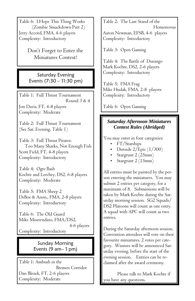*Table 6: I Hope This Thing Works (Zombie Smackdown Part 2) Jerry Accord, FMA, 4-6 players Complexity: Introductory*

> *Don't Forget to Enter the Miniatures Contest!*

Saturday Evening Events (7:30 – 11:30 pm)

*Table 1: Full Thrust Tournament Round 3 & 4*

*Jon Davis, FT, 4-8 players Complexity: Moderate*

*Table 2: Full Thrust Tournament (See Sat. Evening, Table 1)*

*Table 3: Full Thrust Pirates: Too Many Sharks, Not Enough Fish Scott Field, FT, 4-8 players Complexity: Introductory*

*Table 4: Ogre Bash Kochte and Lerchey, DS2, 6-8 players Complexity: Moderate*

*Table 5: FMA Sheep 2 DeBoe & Anon., FMA, 2-8 players Complexity: Introductory*

*Table 6: The Old Guard Mike Miserendino, FMA/DS2,* 

 *4-6 players*

*Complexity: Introductory*

## Sunday Morning Events (9 am– 1 pm)

*Table 1: Ambush in the Bremen Corridor Dan Blezek, FT, 2-6 players Complexity: Moderate*

*Table 2: The Last Stand of the Homonovus Aaron Newman, EFSB, 4-6 players Complexity: Introductory*

*Table 3: Open Gaming*

*Table 4: The Battle of Durango Mark Kochte, DS2, 2-6 players Complexity: Introductory*

*Table 5: FMA Frag Mike Hudak, FMA, 2-8 players Complexity: Introductory*

*Table 6: Open Gaming*

#### *Saturday Afternoon Miniatures Contest Rules (Abridged)*

*You may enter in four categories:* 

- *FT/Starships*
- *Dirtside 2/Epic (1/300)*
- *Stargrunt 2 (25mm)*
- *Stargrunt 2 (15mm)*

*All entries must be painted by the person entering the miniatures. You may submit 2 entries per category, for a maximum of 8. Submissions will be taken by Mark Kochte during the Saturday morning session. SG2 Squads/ DS2 Platoons will count as one entry. A squad with APC will count as two entries.*

*During the Saturday afternoon session, Convention attendees will vote on their favourite miniatures, 2 votes per category. Winners will be announced Saturday evening, before the start of the evening session. Entries can be reclaimed after the award ceremony.*

*Please talk to Mark Kochte if you have any questions.*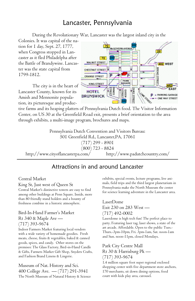## Lancaster, Pennsylvania

*During the Revolutionary War, Lancaster was the largest inland city in the* 

*Colonies. It was capital of the nation for 1 day, Sept. 27, 1777, when Congress stopped in Lancaster as it fled Philadelpha after the Battle of Brandywine. Lancaster was the state capital from 1799-1812.* 

*The city is in the heart of Lancaster County, known for its Amish and Mennonite population, its picturesque and produc-*



*tive farms and its heaping platters of Pennsylvania Dutch food. The Visitor Information Center, on US 30 at the Greenfield Road exit, presents a brief orientation to the area through exhibits, a multi-image program, brochures and maps.* 

*Pennsylvania Dutch Convention and Visitors Bureau: 501 Greenfield Rd., Lancaster,PA, 17061 (717) 299 - 8901 (800) 723 - 8824 http://www.cityoflancasterpa.com/ http://www.padutchcountry.com/*

## Attractions in and around Lancaster

#### *Central Market*

*King St, Just west of Queen St* 

*Central Market's distinctive towers are easy to find among other buildings at Penn Square. Inside, more than 80 friendly stand holders and a bounty of freshness combine in a historic atmosphere.*

#### *Bird-In-Hand Farmer's Market Rt 340 & Maple Ave — (717) 393-9674*

*Indoor Farmers Market featuring local vendors with a wide variety of homemade goodies. Fresh meats, cheese, fruits & vegetables, baked & canned goods, spices, and candy. Other stores on the premises: The Glass Factory, Bird-in-Hand Candle & Gifts, Farmers Market Gift Shop, Snyders Crafts, and Fashion Brand Linens & Lingerie.*

*Museum of Nat. History and Sci. 400 College Ave. — (717) 291-3941 The North Museum of Natural History & Science*  *exhibits, special events, lecture programs, live animals, field trips and the third largest planetarium in Pennsylvania make the North Museum the center for science learning adventure in the Lancaster area.*

### *LaserDome Exit 230 on 283 West — (717) 492-0002*

*Laserdome is high tech fun! The perfect place to party. Featuring laser tag, laser shows, a state of the art arcade. Affordable. Open to the public Tues.- Thurs.-3pm-10pm, Fri. 3pm-1am, Sat. noon-1am and Sun. noon-11pm, closed Mondays.*

#### *Park City Centre Mall Rt 30 & Harrisburg Pk — (717) 393-9674*

*1.4 million square foot super regional enclosed shopping center with five department store anchors, 170 merchants, sit down dining options, food court with kids play area, carousel.*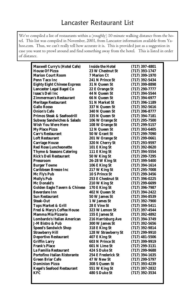*We've compiled a list of restaurants within a (roughly) 10 minute walking distance from the hotel. This list was compiled in November, 2001, from Lancaster information available from Ya*hoo.com. Thus, we can't really tell how accurate it is. This is provided just as a suggestion in case you want to prowl around and find something away from the hotel. This is listed in order *of distance.*

|                                          | <b>Inside the Hotel</b> |                    |
|------------------------------------------|-------------------------|--------------------|
| Maxwell Curry's (Hotel Cafe)             |                         | $(717)$ 397-4801   |
| <b>House Of Pizza</b>                    | <b>23 W Chestnut St</b> | $(717)$ 393-1747   |
| <b>Marion Court Room</b>                 | 7 Marion Ct             | $(717)$ 399-1970   |
| Penn Taco Inc                            | <b>241 N Prince St</b>  | $(717)$ 392-5434   |
| <b>Eighty Eight Chinese Express</b>      | 31 N Queen St           | $(717)$ 399-8898   |
| <b>Lancaster Legal Bagel Co</b>          | 22 E Orange St          | $(717) 290 - 7777$ |
| Isaac's Deli Inc                         | 44 N Queen St           | $(717)$ 394-5544   |
| <b>Zimmerman's Restaurant</b>            | 66 N Queen St           | (717) 394-6977     |
| <b>Meritage Restaurant</b>               | 51 N Market St          | $(717)$ 396-1189   |
| <b>Gallo Rosso</b>                       | 337 N Queen St          | $(717)$ 392-5616   |
| <b>Onion's Cafe</b>                      | 340 N Queen St          | $(717)$ 396-8777   |
| <b>Primos Steak &amp; Seafoodrill</b>    | 335 N Queen St          | $(717)$ 394-7181   |
| <b>Subway Sandwiches &amp; Salads</b>    | 106 W Orange St         | (717) 295-7500     |
| <b>Wish You Were Here</b>                | 108 W Orange St         | $(717) 299 - 5157$ |
| <b>My Place Pizza</b>                    | 12 N Queen St           | (717) 393-6405     |
| <b>Carr's Restaurant</b>                 | 50 W Grant St           | (717) 299-7090     |
| <b>Loft Restaurant</b>                   | 201 W Orange St         | (717) 299-0661     |
| <b>Carriage House</b>                    | 320 N Cherry St         | $(717) 293 - 9597$ |
| <b>Red Rose Luncheonette</b>             | 101 E King St           | $(717)$ 392-8620   |
| <b>Thyme &amp; Seasons Catering</b>      | 111 E King St           | $(717)$ 394-5554   |
| <b>Rick's Deli Restaurant</b>            |                         |                    |
|                                          | 50 W King St            | (717) 299-7295     |
| Pressroom                                | 26-28 W King St         | $(717)$ 399-5400   |
| <b>Burger Towne</b>                      | 106 E King St           | $(717)$ 394-1614   |
| <b>Caribbean Breeze Inc</b>              | 217 W King St           | $(717) 295 - 7008$ |
| Mc Fly's Pub                             | <b>10 S Prince St</b>   | (717) 299-3456     |
| <b>Molly's Pub</b>                       | 253 E Chestnut St       | $(717)$ 396-0225   |
| <b>Mc Donald's</b>                       | 210 W King St           | $(717) 299 - 6699$ |
| <b>Golden Eagle Tavern &amp; Chinese</b> | 170 E King St           | $(717)$ 396-7987   |
| <b>Beverdare Inn</b>                     | 402 N Queen St          | (717) 394-2422     |
| <b>Sun Restaurant</b>                    | 50 W James St           | (717) 394-8539     |
| <b>Steak-Out</b>                         | 1 W James St            | $(717)$ 392-7900   |
| <b>Tops Market &amp; Grill</b>           | <b>28 E Vine St</b>     | $(717)$ 399-5411   |
| Fred & Mary's Coffee House               | 323 W Lemon St          | $(717)$ 397-4544   |
| <b>Mamma Mia Pizzeria</b>                | 155 E James St          | (717) 392-4892     |
| Lombardo's Italian American              | 216 Harrisburg Ave      | (717) 394-3749     |
| J-M Bistro & Pub                         | <b>300 W James St</b>   | $(717)$ 392-5656   |
| <b>Speed's Sandwich Shop</b>             | 318 E King St           | $(717)$ 392-9814   |
| <b>Strawberry Hill</b>                   | 128 W Strawberry St     | $(717) 299 - 9910$ |
| <b>Deportivo Restaurant</b>              | 407 E King St           | (717) 481-5506     |
| <b>Griffin Larry</b>                     | <b>603 N Prince St</b>  | $(717)$ 399-9919   |
| <b>Frank's Place</b>                     | 601 N Lime St           |                    |
| <b>La Familia Restaurant</b>             | <b>424 S Duke St</b>    | $(717) 299 - 3131$ |
|                                          |                         | $(717) 299 - 9688$ |
| <b>Portofino Italian Ristorante</b>      | 254 E Frederick St      | (717) 394-1635     |
| <b>Green Briar Cafe</b>                  | 47 W New St             | $(717) 299 - 5797$ |
| <b>Dominion Pizza</b>                    | 308 S Queen St          | $(717)$ 393-4239   |
| <b>Kegel's Seafood Restaurant</b>        | 551 W King St           | $(717)$ 397-2832   |
| KFC                                      | 480 S Duke St           | $(717)$ 392-3534   |
|                                          |                         |                    |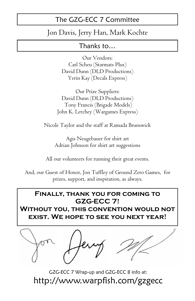# The GZG-ECC 7 Committee

## *Jon Davis, Jerry Han, Mark Kochte*

## Thanks to…

*Our Vendors: Carl Scheu (Starmats Plus) David Dunn (DLD Productions) Yerin Kay (Decals Express)*

*Our Prize Suppliers: David Dunn (DLD Productions) Tony Francis (Brigade Models) John K. Lerchey (Wargames Express)*

*Nicole Taylor and the staff at Ramada Brunswick*

*Agis Neugebauer for shirt art Adrian Johnson for shirt art suggestions*

*All our volunteers for running their great events.*

*And, our Guest of Honor, Jon Tuffley of Ground Zero Games, for prizes, support, and inspiration, as always.*

## **Finally, thank you for coming to GZG-ECC 7!**

**Without you, this convention would not exist. We hope to see you next year!**



GZG-ECC 7 Wrap-up and GZG-ECC 8 info at: http://www.warpfish.com/gzgecc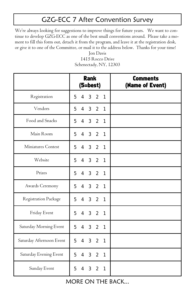# GZG-ECC 7 After Convention Survey

*We're always looking for suggestions to improve things for future years. We want to continue to develop GZG-ECC as one of the best small conventions around. Please take a moment to fill this form out, detach it from the program, and leave it at the registration desk, or give it to one of the Committee, or mail it to the address below. Thanks for your time!*

|                          | <b>Rank</b><br>(5=best)                                                   | <b>Comments</b><br>(Name of Event) |
|--------------------------|---------------------------------------------------------------------------|------------------------------------|
| Registration             | $\overline{4}$<br>3 <sup>7</sup><br>2 <sub>1</sub><br>5                   |                                    |
| Vendors                  | 3 <sup>7</sup><br>2 <sub>1</sub><br>5<br>$\overline{4}$                   |                                    |
| Food and Snacks          | $\overline{4}$<br>3 <sup>7</sup><br>$\overline{2}$<br>5<br>$\overline{1}$ |                                    |
| Main Room                | 5<br>4 3 2 1                                                              |                                    |
| Miniatures Contest       | 3 <sup>2</sup><br>5<br>$\overline{4}$<br>$\mathbf{1}$                     |                                    |
| Website                  | 4 3 2 1<br>5                                                              |                                    |
| Prizes                   | $\overline{4}$<br>3 <sup>7</sup><br>$\overline{2}$<br>5<br>$\mathbf{1}$   |                                    |
| Awards Ceremony          | 4 3 2<br>5<br>$\overline{1}$                                              |                                    |
| Registration Package     | 4 3 2<br>5<br>$\overline{1}$                                              |                                    |
| Friday Event             | $4 \quad 3$<br>2 <sub>1</sub><br>5                                        |                                    |
| Saturday Morning Event   | 5<br>4 3 2<br>$\mathbf{1}$                                                |                                    |
| Saturday Afternoon Event | 5<br>4 3 2 1                                                              |                                    |
| Saturday Evening Event   | 5<br>$\overline{4}$<br>3<br>$\overline{2}$<br>1                           |                                    |
| Sunday Event             | 5<br>$\overline{4}$<br>3 <sup>1</sup><br>$2^{\circ}$<br>$\mathbf{1}$      |                                    |

*Jon Davis 1415 Rocco Drive Schenectady, NY, 12303*

MORE ON THE BACK...